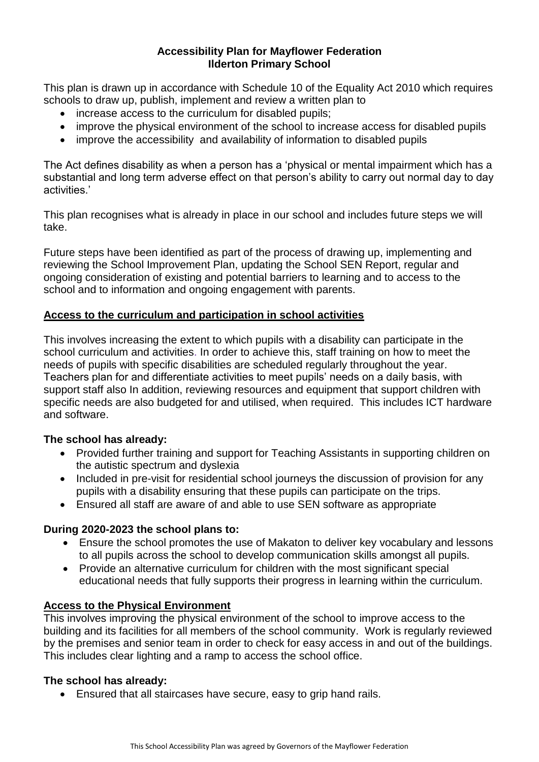### **Accessibility Plan for Mayflower Federation Ilderton Primary School**

This plan is drawn up in accordance with Schedule 10 of the Equality Act 2010 which requires schools to draw up, publish, implement and review a written plan to

- increase access to the curriculum for disabled pupils;
- improve the physical environment of the school to increase access for disabled pupils
- improve the accessibility and availability of information to disabled pupils

The Act defines disability as when a person has a 'physical or mental impairment which has a substantial and long term adverse effect on that person's ability to carry out normal day to day activities.'

This plan recognises what is already in place in our school and includes future steps we will take.

Future steps have been identified as part of the process of drawing up, implementing and reviewing the School Improvement Plan, updating the School SEN Report, regular and ongoing consideration of existing and potential barriers to learning and to access to the school and to information and ongoing engagement with parents.

## **Access to the curriculum and participation in school activities**

This involves increasing the extent to which pupils with a disability can participate in the school curriculum and activities. In order to achieve this, staff training on how to meet the needs of pupils with specific disabilities are scheduled regularly throughout the year. Teachers plan for and differentiate activities to meet pupils' needs on a daily basis, with support staff also In addition, reviewing resources and equipment that support children with specific needs are also budgeted for and utilised, when required. This includes ICT hardware and software.

### **The school has already:**

- Provided further training and support for Teaching Assistants in supporting children on the autistic spectrum and dyslexia
- Included in pre-visit for residential school journeys the discussion of provision for any pupils with a disability ensuring that these pupils can participate on the trips.
- Ensured all staff are aware of and able to use SEN software as appropriate

### **During 2020-2023 the school plans to:**

- Ensure the school promotes the use of Makaton to deliver key vocabulary and lessons to all pupils across the school to develop communication skills amongst all pupils.
- Provide an alternative curriculum for children with the most significant special educational needs that fully supports their progress in learning within the curriculum.

# **Access to the Physical Environment**

This involves improving the physical environment of the school to improve access to the building and its facilities for all members of the school community. Work is regularly reviewed by the premises and senior team in order to check for easy access in and out of the buildings. This includes clear lighting and a ramp to access the school office.

### **The school has already:**

• Ensured that all staircases have secure, easy to grip hand rails.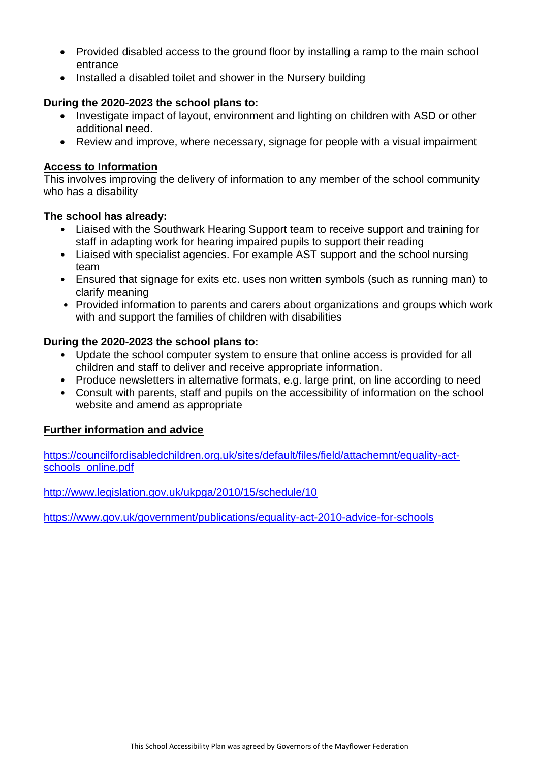- Provided disabled access to the ground floor by installing a ramp to the main school entrance
- Installed a disabled toilet and shower in the Nursery building

## **During the 2020-2023 the school plans to:**

- Investigate impact of layout, environment and lighting on children with ASD or other additional need.
- Review and improve, where necessary, signage for people with a visual impairment

## **Access to Information**

This involves improving the delivery of information to any member of the school community who has a disability

### **The school has already:**

- Liaised with the Southwark Hearing Support team to receive support and training for staff in adapting work for hearing impaired pupils to support their reading
- Liaised with specialist agencies. For example AST support and the school nursing team
- Ensured that signage for exits etc. uses non written symbols (such as running man) to clarify meaning
- Provided information to parents and carers about organizations and groups which work with and support the families of children with disabilities

## **During the 2020-2023 the school plans to:**

- Update the school computer system to ensure that online access is provided for all children and staff to deliver and receive appropriate information.
- Produce newsletters in alternative formats, e.g. large print, on line according to need
- Consult with parents, staff and pupils on the accessibility of information on the school website and amend as appropriate

### **Further information and advice**

[https://councilfordisabledchildren.org.uk/sites/default/files/field/attachemnt/equality-act](https://councilfordisabledchildren.org.uk/sites/default/files/field/attachemnt/equality-act-schools_online.pdf)[schools\\_online.pdf](https://councilfordisabledchildren.org.uk/sites/default/files/field/attachemnt/equality-act-schools_online.pdf)

<http://www.legislation.gov.uk/ukpga/2010/15/schedule/10>

<https://www.gov.uk/government/publications/equality-act-2010-advice-for-schools>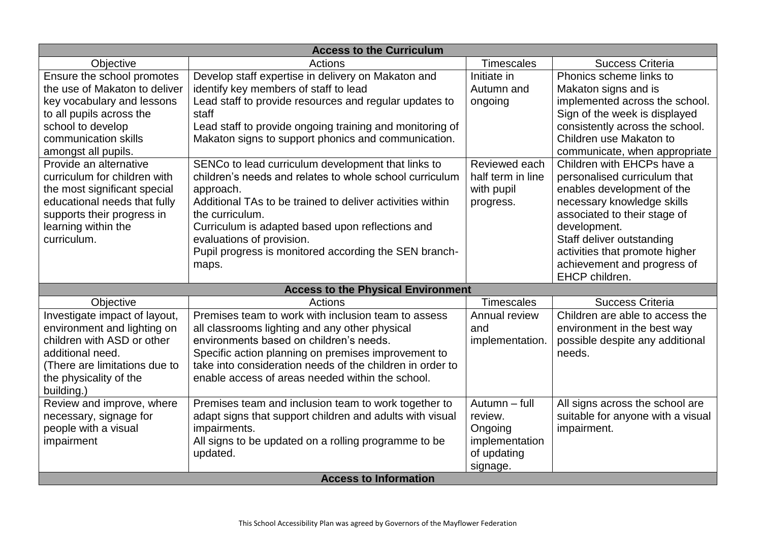| <b>Access to the Curriculum</b> |                                                           |                   |                                   |  |
|---------------------------------|-----------------------------------------------------------|-------------------|-----------------------------------|--|
| Objective                       | Actions                                                   | <b>Timescales</b> | <b>Success Criteria</b>           |  |
| Ensure the school promotes      | Develop staff expertise in delivery on Makaton and        | Initiate in       | Phonics scheme links to           |  |
| the use of Makaton to deliver   | identify key members of staff to lead                     | Autumn and        | Makaton signs and is              |  |
| key vocabulary and lessons      | Lead staff to provide resources and regular updates to    | ongoing           | implemented across the school.    |  |
| to all pupils across the        | staff                                                     |                   | Sign of the week is displayed     |  |
| school to develop               | Lead staff to provide ongoing training and monitoring of  |                   | consistently across the school.   |  |
| communication skills            | Makaton signs to support phonics and communication.       |                   | Children use Makaton to           |  |
| amongst all pupils.             |                                                           |                   | communicate, when appropriate     |  |
| Provide an alternative          | SENCo to lead curriculum development that links to        | Reviewed each     | Children with EHCPs have a        |  |
| curriculum for children with    | children's needs and relates to whole school curriculum   | half term in line | personalised curriculum that      |  |
| the most significant special    | approach.                                                 | with pupil        | enables development of the        |  |
| educational needs that fully    | Additional TAs to be trained to deliver activities within | progress.         | necessary knowledge skills        |  |
| supports their progress in      | the curriculum.                                           |                   | associated to their stage of      |  |
| learning within the             | Curriculum is adapted based upon reflections and          |                   | development.                      |  |
| curriculum.                     | evaluations of provision.                                 |                   | Staff deliver outstanding         |  |
|                                 | Pupil progress is monitored according the SEN branch-     |                   | activities that promote higher    |  |
|                                 | maps.                                                     |                   | achievement and progress of       |  |
|                                 |                                                           |                   | EHCP children.                    |  |
|                                 | <b>Access to the Physical Environment</b>                 |                   |                                   |  |
| Objective                       | <b>Actions</b>                                            | <b>Timescales</b> | <b>Success Criteria</b>           |  |
| Investigate impact of layout,   | Premises team to work with inclusion team to assess       | Annual review     | Children are able to access the   |  |
| environment and lighting on     | all classrooms lighting and any other physical            | and               | environment in the best way       |  |
| children with ASD or other      | environments based on children's needs.                   | implementation.   | possible despite any additional   |  |
| additional need.                | Specific action planning on premises improvement to       |                   | needs.                            |  |
| (There are limitations due to   | take into consideration needs of the children in order to |                   |                                   |  |
| the physicality of the          | enable access of areas needed within the school.          |                   |                                   |  |
| building.)                      |                                                           |                   |                                   |  |
| Review and improve, where       | Premises team and inclusion team to work together to      | Autumn - full     | All signs across the school are   |  |
| necessary, signage for          | adapt signs that support children and adults with visual  | review.           | suitable for anyone with a visual |  |
| people with a visual            | impairments.                                              | Ongoing           | impairment.                       |  |
| impairment                      | All signs to be updated on a rolling programme to be      | implementation    |                                   |  |
|                                 | updated.                                                  | of updating       |                                   |  |
|                                 |                                                           | signage.          |                                   |  |
| <b>Access to Information</b>    |                                                           |                   |                                   |  |